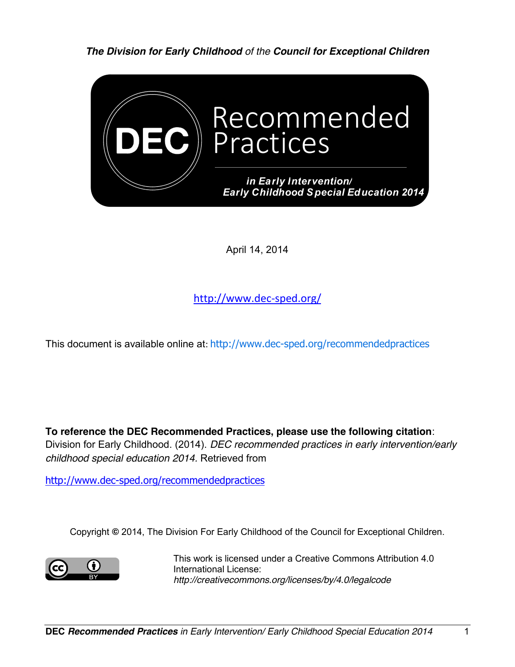*The Division for Early Childhood of the Council for Exceptional Children*



April 14, 2014

http://www.dec-sped.org/

This document is available online at: http://www.dec-sped.org/recommendedpractices

**To reference the DEC Recommended Practices, please use the following citation**: Division for Early Childhood. (2014). *DEC recommended practices in early intervention/early childhood special education 2014.* Retrieved from

http://www.dec-sped.org/recommendedpractices

Copyright **©** 2014, The Division For Early Childhood of the Council for Exceptional Children.



This work is licensed under a Creative Commons Attribution 4.0 International License: *http://creativecommons.org/licenses/by/4.0/legalcode*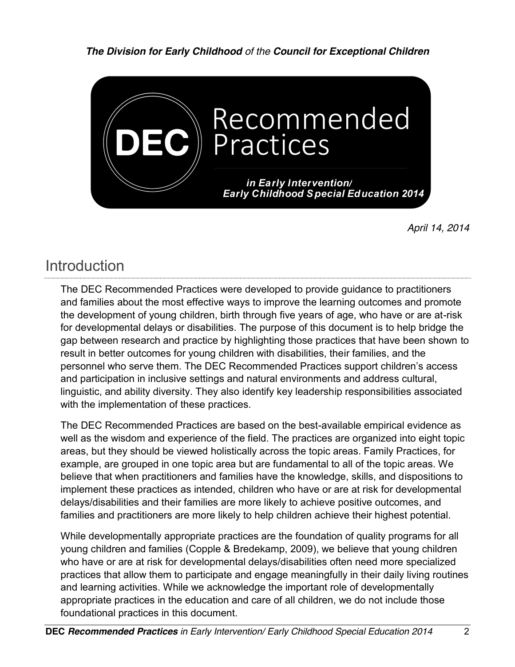*The Division for Early Childhood of the Council for Exceptional Children*



*April 14, 2014*

## Introduction

The DEC Recommended Practices were developed to provide guidance to practitioners and families about the most effective ways to improve the learning outcomes and promote the development of young children, birth through five years of age, who have or are at-risk for developmental delays or disabilities. The purpose of this document is to help bridge the gap between research and practice by highlighting those practices that have been shown to result in better outcomes for young children with disabilities, their families, and the personnel who serve them. The DEC Recommended Practices support children's access and participation in inclusive settings and natural environments and address cultural, linguistic, and ability diversity. They also identify key leadership responsibilities associated with the implementation of these practices.

The DEC Recommended Practices are based on the best-available empirical evidence as well as the wisdom and experience of the field. The practices are organized into eight topic areas, but they should be viewed holistically across the topic areas. Family Practices, for example, are grouped in one topic area but are fundamental to all of the topic areas. We believe that when practitioners and families have the knowledge, skills, and dispositions to implement these practices as intended, children who have or are at risk for developmental delays/disabilities and their families are more likely to achieve positive outcomes, and families and practitioners are more likely to help children achieve their highest potential.

While developmentally appropriate practices are the foundation of quality programs for all young children and families (Copple & Bredekamp, 2009), we believe that young children who have or are at risk for developmental delays/disabilities often need more specialized practices that allow them to participate and engage meaningfully in their daily living routines and learning activities. While we acknowledge the important role of developmentally appropriate practices in the education and care of all children, we do not include those foundational practices in this document.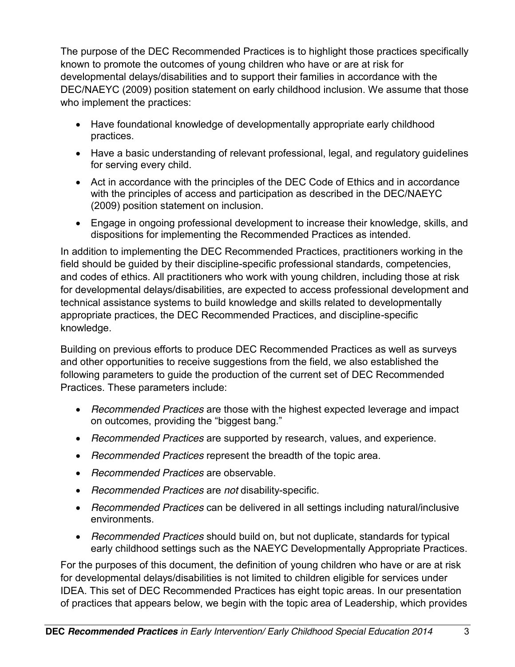The purpose of the DEC Recommended Practices is to highlight those practices specifically known to promote the outcomes of young children who have or are at risk for developmental delays/disabilities and to support their families in accordance with the DEC/NAEYC (2009) position statement on early childhood inclusion. We assume that those who implement the practices:

- Have foundational knowledge of developmentally appropriate early childhood practices.
- Have a basic understanding of relevant professional, legal, and regulatory guidelines for serving every child.
- Act in accordance with the principles of the DEC Code of Ethics and in accordance with the principles of access and participation as described in the DEC/NAEYC (2009) position statement on inclusion.
- Engage in ongoing professional development to increase their knowledge, skills, and dispositions for implementing the Recommended Practices as intended.

In addition to implementing the DEC Recommended Practices, practitioners working in the field should be guided by their discipline-specific professional standards, competencies, and codes of ethics. All practitioners who work with young children, including those at risk for developmental delays/disabilities, are expected to access professional development and technical assistance systems to build knowledge and skills related to developmentally appropriate practices, the DEC Recommended Practices, and discipline-specific knowledge.

Building on previous efforts to produce DEC Recommended Practices as well as surveys and other opportunities to receive suggestions from the field, we also established the following parameters to guide the production of the current set of DEC Recommended Practices. These parameters include:

- x *Recommended Practices* are those with the highest expected leverage and impact on outcomes, providing the "biggest bang."
- x *Recommended Practices* are supported by research, values, and experience.
- **•** *Recommended Practices* represent the breadth of the topic area.
- x *Recommended Practices* are observable.
- x *Recommended Practices* are *not* disability-specific.
- x *Recommended Practices* can be delivered in all settings including natural/inclusive environments.
- x *Recommended Practices* should build on, but not duplicate, standards for typical early childhood settings such as the NAEYC Developmentally Appropriate Practices.

For the purposes of this document, the definition of young children who have or are at risk for developmental delays/disabilities is not limited to children eligible for services under IDEA. This set of DEC Recommended Practices has eight topic areas. In our presentation of practices that appears below, we begin with the topic area of Leadership, which provides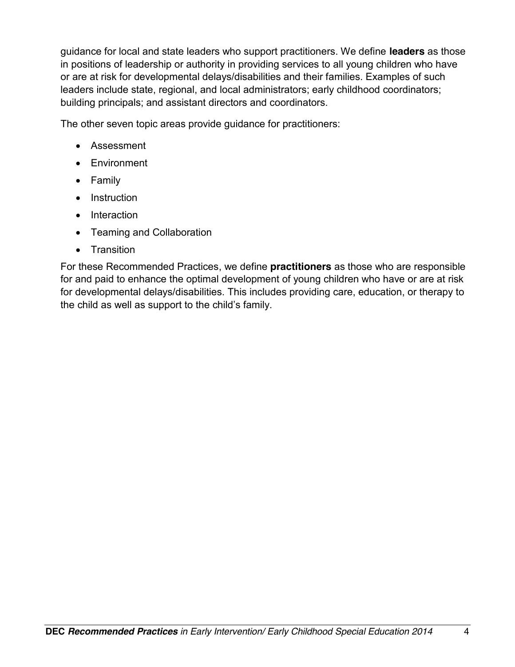guidance for local and state leaders who support practitioners. We define **leaders** as those in positions of leadership or authority in providing services to all young children who have or are at risk for developmental delays/disabilities and their families. Examples of such leaders include state, regional, and local administrators; early childhood coordinators; building principals; and assistant directors and coordinators.

The other seven topic areas provide guidance for practitioners:

- Assessment
- Environment
- Family
- Instruction
- Interaction
- Teaming and Collaboration
- Transition

For these Recommended Practices, we define **practitioners** as those who are responsible for and paid to enhance the optimal development of young children who have or are at risk for developmental delays/disabilities. This includes providing care, education, or therapy to the child as well as support to the child's family.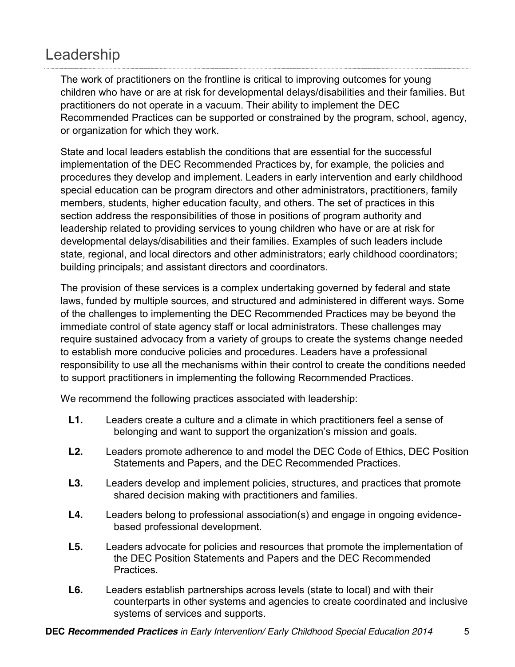# Leadership

The work of practitioners on the frontline is critical to improving outcomes for young children who have or are at risk for developmental delays/disabilities and their families. But practitioners do not operate in a vacuum. Their ability to implement the DEC Recommended Practices can be supported or constrained by the program, school, agency, or organization for which they work.

State and local leaders establish the conditions that are essential for the successful implementation of the DEC Recommended Practices by, for example, the policies and procedures they develop and implement. Leaders in early intervention and early childhood special education can be program directors and other administrators, practitioners, family members, students, higher education faculty, and others. The set of practices in this section address the responsibilities of those in positions of program authority and leadership related to providing services to young children who have or are at risk for developmental delays/disabilities and their families. Examples of such leaders include state, regional, and local directors and other administrators; early childhood coordinators; building principals; and assistant directors and coordinators.

The provision of these services is a complex undertaking governed by federal and state laws, funded by multiple sources, and structured and administered in different ways. Some of the challenges to implementing the DEC Recommended Practices may be beyond the immediate control of state agency staff or local administrators. These challenges may require sustained advocacy from a variety of groups to create the systems change needed to establish more conducive policies and procedures. Leaders have a professional responsibility to use all the mechanisms within their control to create the conditions needed to support practitioners in implementing the following Recommended Practices.

We recommend the following practices associated with leadership:

- **L1.** Leaders create a culture and a climate in which practitioners feel a sense of belonging and want to support the organization's mission and goals.
- **L2.** Leaders promote adherence to and model the DEC Code of Ethics, DEC Position Statements and Papers, and the DEC Recommended Practices.
- **L3.** Leaders develop and implement policies, structures, and practices that promote shared decision making with practitioners and families.
- **L4.** Leaders belong to professional association(s) and engage in ongoing evidencebased professional development.
- **L5.** Leaders advocate for policies and resources that promote the implementation of the DEC Position Statements and Papers and the DEC Recommended Practices.
- **L6.** Leaders establish partnerships across levels (state to local) and with their counterparts in other systems and agencies to create coordinated and inclusive systems of services and supports.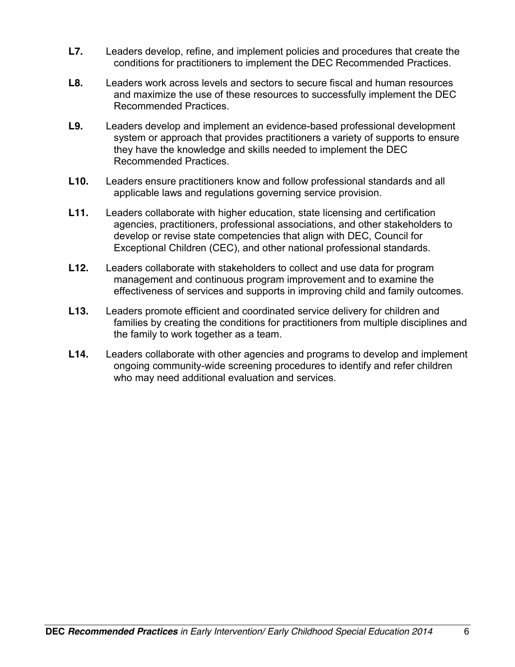- **L7.** Leaders develop, refine, and implement policies and procedures that create the conditions for practitioners to implement the DEC Recommended Practices.
- **L8.** Leaders work across levels and sectors to secure fiscal and human resources and maximize the use of these resources to successfully implement the DEC Recommended Practices.
- **L9.** Leaders develop and implement an evidence-based professional development system or approach that provides practitioners a variety of supports to ensure they have the knowledge and skills needed to implement the DEC Recommended Practices.
- **L10.** Leaders ensure practitioners know and follow professional standards and all applicable laws and regulations governing service provision.
- **L11.** Leaders collaborate with higher education, state licensing and certification agencies, practitioners, professional associations, and other stakeholders to develop or revise state competencies that align with DEC, Council for Exceptional Children (CEC), and other national professional standards.
- **L12.** Leaders collaborate with stakeholders to collect and use data for program management and continuous program improvement and to examine the effectiveness of services and supports in improving child and family outcomes.
- **L13.** Leaders promote efficient and coordinated service delivery for children and families by creating the conditions for practitioners from multiple disciplines and the family to work together as a team.
- **L14.** Leaders collaborate with other agencies and programs to develop and implement ongoing community-wide screening procedures to identify and refer children who may need additional evaluation and services.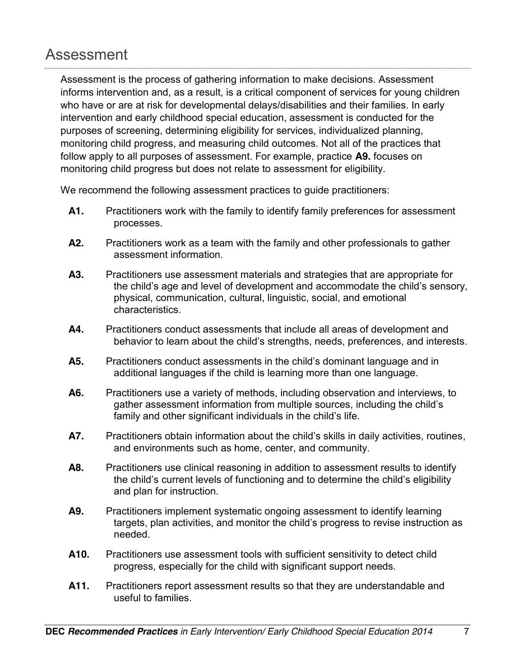#### Assessment

Assessment is the process of gathering information to make decisions. Assessment informs intervention and, as a result, is a critical component of services for young children who have or are at risk for developmental delays/disabilities and their families. In early intervention and early childhood special education, assessment is conducted for the purposes of screening, determining eligibility for services, individualized planning, monitoring child progress, and measuring child outcomes. Not all of the practices that follow apply to all purposes of assessment. For example, practice **A9.** focuses on monitoring child progress but does not relate to assessment for eligibility.

We recommend the following assessment practices to guide practitioners:

- **A1.** Practitioners work with the family to identify family preferences for assessment processes.
- **A2.** Practitioners work as a team with the family and other professionals to gather assessment information.
- **A3.** Practitioners use assessment materials and strategies that are appropriate for the child's age and level of development and accommodate the child's sensory, physical, communication, cultural, linguistic, social, and emotional characteristics.
- **A4.** Practitioners conduct assessments that include all areas of development and behavior to learn about the child's strengths, needs, preferences, and interests.
- **A5.** Practitioners conduct assessments in the child's dominant language and in additional languages if the child is learning more than one language.
- **A6.** Practitioners use a variety of methods, including observation and interviews, to gather assessment information from multiple sources, including the child's family and other significant individuals in the child's life.
- A7. Practitioners obtain information about the child's skills in daily activities, routines, and environments such as home, center, and community.
- A8. Practitioners use clinical reasoning in addition to assessment results to identify the child's current levels of functioning and to determine the child's eligibility and plan for instruction.
- **A9.** Practitioners implement systematic ongoing assessment to identify learning targets, plan activities, and monitor the child's progress to revise instruction as needed.
- **A10.** Practitioners use assessment tools with sufficient sensitivity to detect child progress, especially for the child with significant support needs.
- **A11.** Practitioners report assessment results so that they are understandable and useful to families.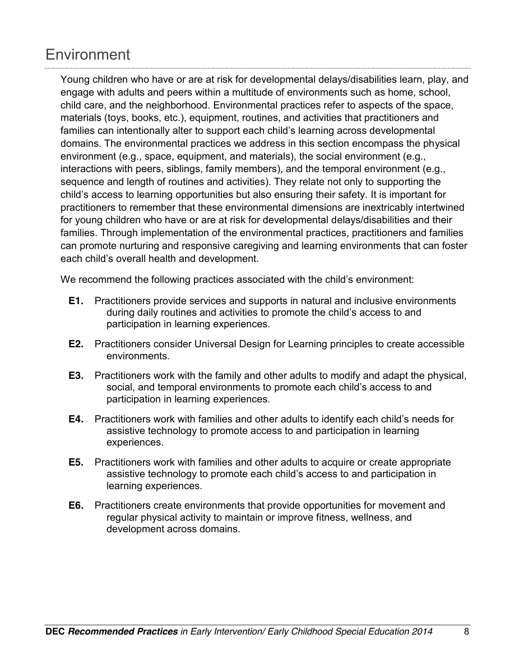## **Environment**

Young children who have or are at risk for developmental delays/disabilities learn, play, and engage with adults and peers within a multitude of environments such as home, school, child care, and the neighborhood. Environmental practices refer to aspects of the space, materials (toys, books, etc.), equipment, routines, and activities that practitioners and families can intentionally alter to support each child's learning across developmental domains. The environmental practices we address in this section encompass the physical environment (e.g., space, equipment, and materials), the social environment (e.g., interactions with peers, siblings, family members), and the temporal environment (e.g., sequence and length of routines and activities). They relate not only to supporting the child's access to learning opportunities but also ensuring their safety. It is important for practitioners to remember that these environmental dimensions are inextricably intertwined for young children who have or are at risk for developmental delays/disabilities and their families. Through implementation of the environmental practices, practitioners and families can promote nurturing and responsive caregiving and learning environments that can foster each child's overall health and development.

We recommend the following practices associated with the child's environment:

- **E1.** Practitioners provide services and supports in natural and inclusive environments during daily routines and activities to promote the child's access to and participation in learning experiences.
- **E2.** Practitioners consider Universal Design for Learning principles to create accessible environments.
- **E3.** Practitioners work with the family and other adults to modify and adapt the physical, social, and temporal environments to promote each child's access to and participation in learning experiences.
- **E4.** Practitioners work with families and other adults to identify each child's needs for assistive technology to promote access to and participation in learning experiences.
- **E5.** Practitioners work with families and other adults to acquire or create appropriate assistive technology to promote each child's access to and participation in learning experiences.
- **E6.** Practitioners create environments that provide opportunities for movement and regular physical activity to maintain or improve fitness, wellness, and development across domains.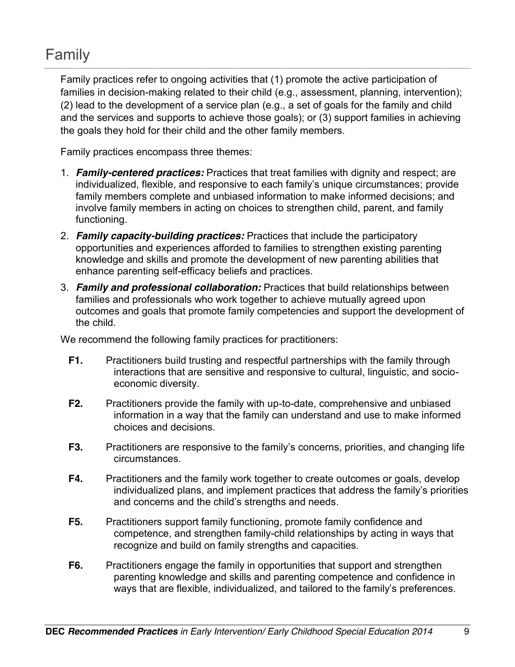## Family

Family practices refer to ongoing activities that (1) promote the active participation of families in decision-making related to their child (e.g., assessment, planning, intervention); (2) lead to the development of a service plan (e.g., a set of goals for the family and child and the services and supports to achieve those goals); or (3) support families in achieving the goals they hold for their child and the other family members.

Family practices encompass three themes:

- 1. *Family-centered practices:* Practices that treat families with dignity and respect; are individualized, flexible, and responsive to each family's unique circumstances; provide family members complete and unbiased information to make informed decisions; and involve family members in acting on choices to strengthen child, parent, and family functioning.
- 2. *Family capacity-building practices:* Practices that include the participatory opportunities and experiences afforded to families to strengthen existing parenting knowledge and skills and promote the development of new parenting abilities that enhance parenting self-efficacy beliefs and practices.
- 3. *Family and professional collaboration:* Practices that build relationships between families and professionals who work together to achieve mutually agreed upon outcomes and goals that promote family competencies and support the development of the child.

We recommend the following family practices for practitioners:

- **F1.** Practitioners build trusting and respectful partnerships with the family through interactions that are sensitive and responsive to cultural, linguistic, and socioeconomic diversity.
- **F2.** Practitioners provide the family with up-to-date, comprehensive and unbiased information in a way that the family can understand and use to make informed choices and decisions.
- **F3.** Practitioners are responsive to the family's concerns, priorities, and changing life circumstances.
- **F4.** Practitioners and the family work together to create outcomes or goals, develop individualized plans, and implement practices that address the family's priorities and concerns and the child's strengths and needs.
- **F5.** Practitioners support family functioning, promote family confidence and competence, and strengthen family-child relationships by acting in ways that recognize and build on family strengths and capacities.
- **F6.** Practitioners engage the family in opportunities that support and strengthen parenting knowledge and skills and parenting competence and confidence in ways that are flexible, individualized, and tailored to the family's preferences.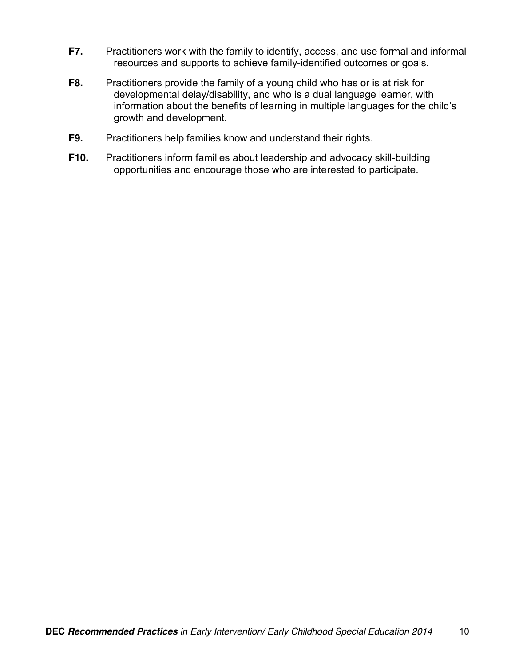- **F7.** Practitioners work with the family to identify, access, and use formal and informal resources and supports to achieve family-identified outcomes or goals.
- **F8.** Practitioners provide the family of a young child who has or is at risk for developmental delay/disability, and who is a dual language learner, with information about the benefits of learning in multiple languages for the child's growth and development.
- **F9.** Practitioners help families know and understand their rights.
- **F10.** Practitioners inform families about leadership and advocacy skill-building opportunities and encourage those who are interested to participate.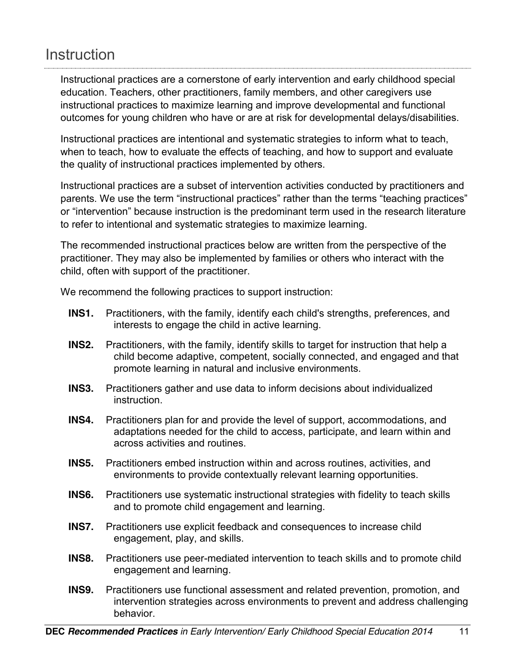### **Instruction**

Instructional practices are a cornerstone of early intervention and early childhood special education. Teachers, other practitioners, family members, and other caregivers use instructional practices to maximize learning and improve developmental and functional outcomes for young children who have or are at risk for developmental delays/disabilities.

Instructional practices are intentional and systematic strategies to inform what to teach, when to teach, how to evaluate the effects of teaching, and how to support and evaluate the quality of instructional practices implemented by others.

Instructional practices are a subset of intervention activities conducted by practitioners and parents. We use the term "instructional practices" rather than the terms "teaching practices" or "intervention" because instruction is the predominant term used in the research literature to refer to intentional and systematic strategies to maximize learning.

The recommended instructional practices below are written from the perspective of the practitioner. They may also be implemented by families or others who interact with the child, often with support of the practitioner.

We recommend the following practices to support instruction:

- **INS1.** Practitioners, with the family, identify each child's strengths, preferences, and interests to engage the child in active learning.
- **INS2.** Practitioners, with the family, identify skills to target for instruction that help a child become adaptive, competent, socially connected, and engaged and that promote learning in natural and inclusive environments.
- **INS3.** Practitioners gather and use data to inform decisions about individualized instruction.
- **INS4.** Practitioners plan for and provide the level of support, accommodations, and adaptations needed for the child to access, participate, and learn within and across activities and routines.
- **INS5.** Practitioners embed instruction within and across routines, activities, and environments to provide contextually relevant learning opportunities.
- **INS6.** Practitioners use systematic instructional strategies with fidelity to teach skills and to promote child engagement and learning.
- **INS7.** Practitioners use explicit feedback and consequences to increase child engagement, play, and skills.
- **INS8.** Practitioners use peer-mediated intervention to teach skills and to promote child engagement and learning.
- **INS9.** Practitioners use functional assessment and related prevention, promotion, and intervention strategies across environments to prevent and address challenging behavior.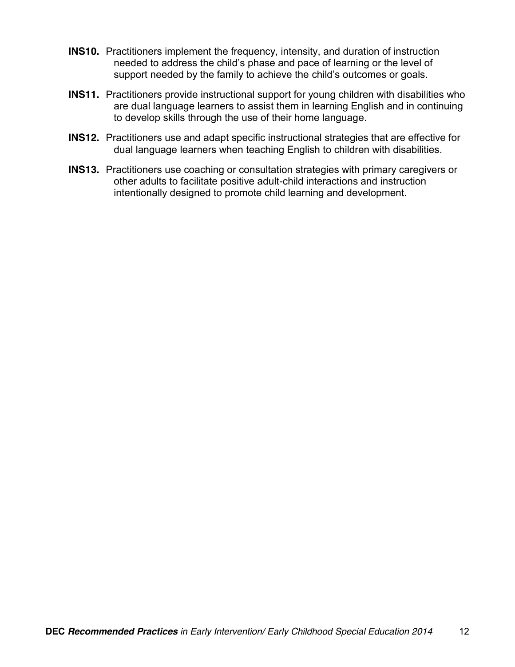- **INS10.** Practitioners implement the frequency, intensity, and duration of instruction needed to address the child's phase and pace of learning or the level of support needed by the family to achieve the child's outcomes or goals.
- **INS11.** Practitioners provide instructional support for young children with disabilities who are dual language learners to assist them in learning English and in continuing to develop skills through the use of their home language.
- **INS12.** Practitioners use and adapt specific instructional strategies that are effective for dual language learners when teaching English to children with disabilities.
- **INS13.** Practitioners use coaching or consultation strategies with primary caregivers or other adults to facilitate positive adult-child interactions and instruction intentionally designed to promote child learning and development.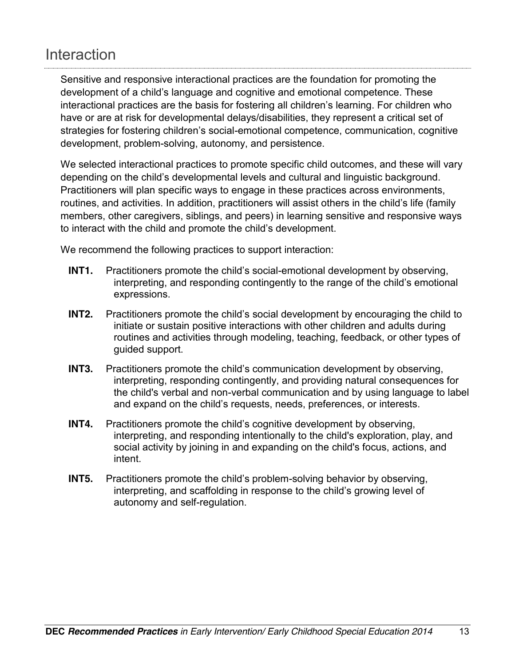### **Interaction**

Sensitive and responsive interactional practices are the foundation for promoting the development of a child's language and cognitive and emotional competence. These interactional practices are the basis for fostering all children's learning. For children who have or are at risk for developmental delays/disabilities, they represent a critical set of strategies for fostering children's social-emotional competence, communication, cognitive development, problem-solving, autonomy, and persistence.

We selected interactional practices to promote specific child outcomes, and these will vary depending on the child's developmental levels and cultural and linguistic background. Practitioners will plan specific ways to engage in these practices across environments, routines, and activities. In addition, practitioners will assist others in the child's life (family members, other caregivers, siblings, and peers) in learning sensitive and responsive ways to interact with the child and promote the child's development.

We recommend the following practices to support interaction:

- **INT1.** Practitioners promote the child's social-emotional development by observing, interpreting, and responding contingently to the range of the child's emotional expressions.
- **INT2.** Practitioners promote the child's social development by encouraging the child to initiate or sustain positive interactions with other children and adults during routines and activities through modeling, teaching, feedback, or other types of guided support.
- **INT3.** Practitioners promote the child's communication development by observing, interpreting, responding contingently, and providing natural consequences for the child's verbal and non-verbal communication and by using language to label and expand on the child's requests, needs, preferences, or interests.
- **INT4.** Practitioners promote the child's cognitive development by observing, interpreting, and responding intentionally to the child's exploration, play, and social activity by joining in and expanding on the child's focus, actions, and intent.
- **INT5.** Practitioners promote the child's problem-solving behavior by observing, interpreting, and scaffolding in response to the child's growing level of autonomy and self-regulation.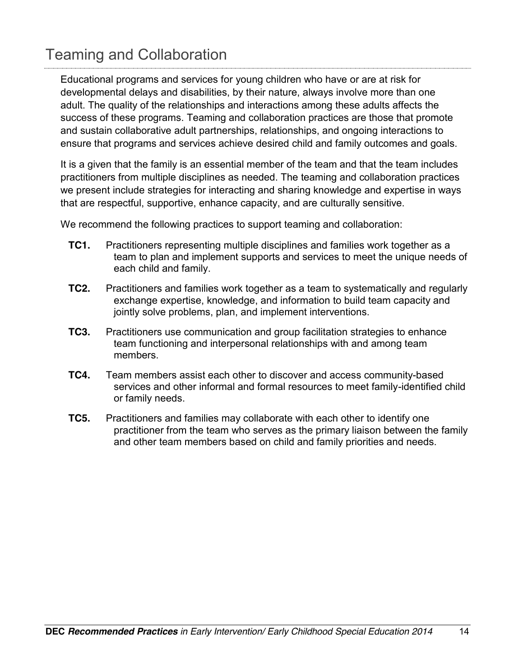# Teaming and Collaboration

Educational programs and services for young children who have or are at risk for developmental delays and disabilities, by their nature, always involve more than one adult. The quality of the relationships and interactions among these adults affects the success of these programs. Teaming and collaboration practices are those that promote and sustain collaborative adult partnerships, relationships, and ongoing interactions to ensure that programs and services achieve desired child and family outcomes and goals.

It is a given that the family is an essential member of the team and that the team includes practitioners from multiple disciplines as needed. The teaming and collaboration practices we present include strategies for interacting and sharing knowledge and expertise in ways that are respectful, supportive, enhance capacity, and are culturally sensitive.

We recommend the following practices to support teaming and collaboration:

- **TC1.** Practitioners representing multiple disciplines and families work together as a team to plan and implement supports and services to meet the unique needs of each child and family.
- **TC2.** Practitioners and families work together as a team to systematically and regularly exchange expertise, knowledge, and information to build team capacity and jointly solve problems, plan, and implement interventions.
- **TC3.** Practitioners use communication and group facilitation strategies to enhance team functioning and interpersonal relationships with and among team members.
- **TC4.** Team members assist each other to discover and access community-based services and other informal and formal resources to meet family-identified child or family needs.
- **TC5.** Practitioners and families may collaborate with each other to identify one practitioner from the team who serves as the primary liaison between the family and other team members based on child and family priorities and needs.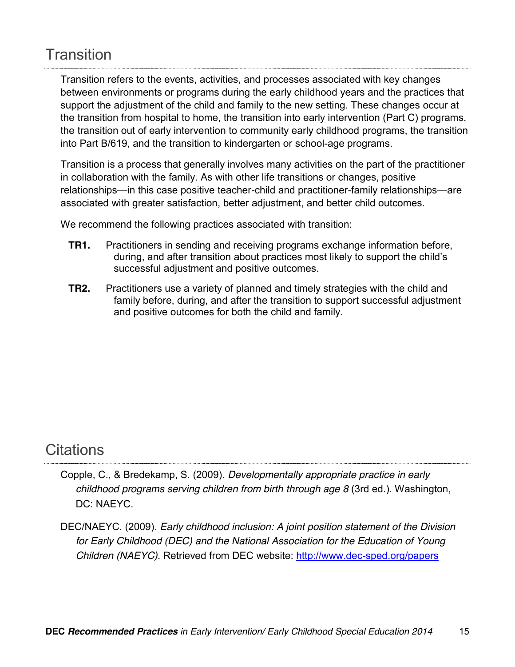### **Transition**

Transition refers to the events, activities, and processes associated with key changes between environments or programs during the early childhood years and the practices that support the adjustment of the child and family to the new setting. These changes occur at the transition from hospital to home, the transition into early intervention (Part C) programs, the transition out of early intervention to community early childhood programs, the transition into Part B/619, and the transition to kindergarten or school-age programs.

Transition is a process that generally involves many activities on the part of the practitioner in collaboration with the family. As with other life transitions or changes, positive relationships—in this case positive teacher-child and practitioner-family relationships—are associated with greater satisfaction, better adjustment, and better child outcomes.

We recommend the following practices associated with transition:

- **TR1.** Practitioners in sending and receiving programs exchange information before, during, and after transition about practices most likely to support the child's successful adjustment and positive outcomes.
- **TR2.** Practitioners use a variety of planned and timely strategies with the child and family before, during, and after the transition to support successful adjustment and positive outcomes for both the child and family.

### **Citations**

- Copple, C., & Bredekamp, S. (2009). *Developmentally appropriate practice in early childhood programs serving children from birth through age 8* (3rd ed.). Washington, DC: NAEYC.
- DEC/NAEYC. (2009). *Early childhood inclusion: A joint position statement of the Division for Early Childhood (DEC) and the National Association for the Education of Young Children (NAEYC).* Retrieved from DEC website: http://www.dec-sped.org/papers